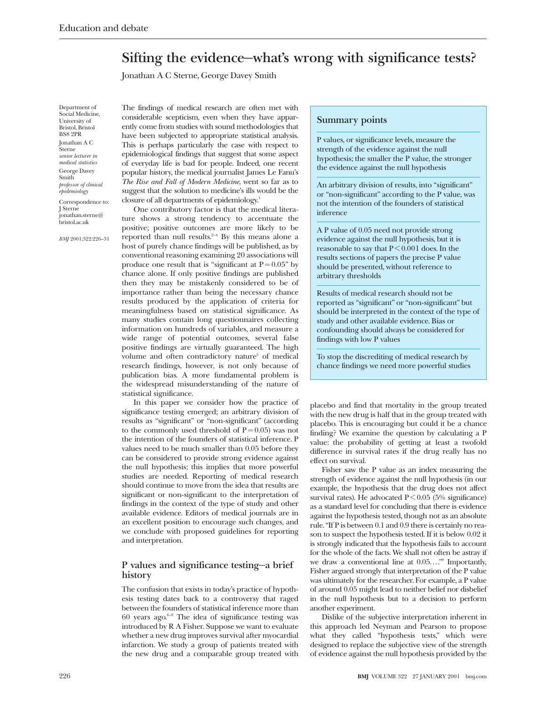# **Sifting the evidence—what's wrong with significance tests?**

Jonathan A C Sterne, George Davey Smith

Department of Social Medicine, University of Bristol, Bristol BS8 2PR Jonathan A C Sterne *senior lecturer in medical statistics* George Davey Smith *professor of clinical epidemiology* Correspondence to:

J Sterne jonathan.sterne@ bristol.ac.uk

*BMJ* 2001;322:226–31

The findings of medical research are often met with considerable scepticism, even when they have apparently come from studies with sound methodologies that have been subjected to appropriate statistical analysis. This is perhaps particularly the case with respect to epidemiological findings that suggest that some aspect of everyday life is bad for people. Indeed, one recent popular history, the medical journalist James Le Fanu's *The Rise and Fall of Modern Medicine*, went so far as to suggest that the solution to medicine's ills would be the closure of all departments of epidemiology.<sup>1</sup>

One contributory factor is that the medical literature shows a strong tendency to accentuate the positive; positive outcomes are more likely to be reported than null results.<sup>2-4</sup> By this means alone a host of purely chance findings will be published, as by conventional reasoning examining 20 associations will produce one result that is "significant at  $P = 0.05$ " by chance alone. If only positive findings are published then they may be mistakenly considered to be of importance rather than being the necessary chance results produced by the application of criteria for meaningfulness based on statistical significance. As many studies contain long questionnaires collecting information on hundreds of variables, and measure a wide range of potential outcomes, several false positive findings are virtually guaranteed. The high volume and often contradictory nature<sup>5</sup> of medical research findings, however, is not only because of publication bias. A more fundamental problem is the widespread misunderstanding of the nature of statistical significance.

In this paper we consider how the practice of significance testing emerged; an arbitrary division of results as "significant" or "non-significant" (according to the commonly used threshold of  $P = 0.05$ ) was not the intention of the founders of statistical inference. P values need to be much smaller than 0.05 before they can be considered to provide strong evidence against the null hypothesis; this implies that more powerful studies are needed. Reporting of medical research should continue to move from the idea that results are significant or non-significant to the interpretation of findings in the context of the type of study and other available evidence. Editors of medical journals are in an excellent position to encourage such changes, and we conclude with proposed guidelines for reporting and interpretation.

## **P values and significance testing—a brief history**

The confusion that exists in today's practice of hypothesis testing dates back to a controversy that raged between the founders of statistical inference more than  $60$  years ago. $6-8$  The idea of significance testing was introduced by R A Fisher. Suppose we want to evaluate whether a new drug improves survival after myocardial infarction. We study a group of patients treated with the new drug and a comparable group treated with

## **Summary points**

P values, or significance levels, measure the strength of the evidence against the null hypothesis; the smaller the P value, the stronger the evidence against the null hypothesis

An arbitrary division of results, into "significant" or "non-significant" according to the P value, was not the intention of the founders of statistical inference

A P value of 0.05 need not provide strong evidence against the null hypothesis, but it is reasonable to say that  $P < 0.001$  does. In the results sections of papers the precise P value should be presented, without reference to arbitrary thresholds

Results of medical research should not be reported as "significant" or "non-significant" but should be interpreted in the context of the type of study and other available evidence. Bias or confounding should always be considered for findings with low P values

To stop the discrediting of medical research by chance findings we need more powerful studies

placebo and find that mortality in the group treated with the new drug is half that in the group treated with placebo. This is encouraging but could it be a chance finding? We examine the question by calculating a P value: the probability of getting at least a twofold difference in survival rates if the drug really has no effect on survival.

Fisher saw the P value as an index measuring the strength of evidence against the null hypothesis (in our example, the hypothesis that the drug does not affect survival rates). He advocated  $P < 0.05$  (5% significance) as a standard level for concluding that there is evidence against the hypothesis tested, though not as an absolute rule. "If P is between 0.1 and 0.9 there is certainly no reason to suspect the hypothesis tested. If it is below 0.02 it is strongly indicated that the hypothesis fails to account for the whole of the facts. We shall not often be astray if we draw a conventional line at  $0.05...$ <sup>39</sup> Importantly, Fisher argued strongly that interpretation of the P value was ultimately for the researcher. For example, a P value of around 0.05 might lead to neither belief nor disbelief in the null hypothesis but to a decision to perform another experiment.

Dislike of the subjective interpretation inherent in this approach led Neyman and Pearson to propose what they called "hypothesis tests," which were designed to replace the subjective view of the strength of evidence against the null hypothesis provided by the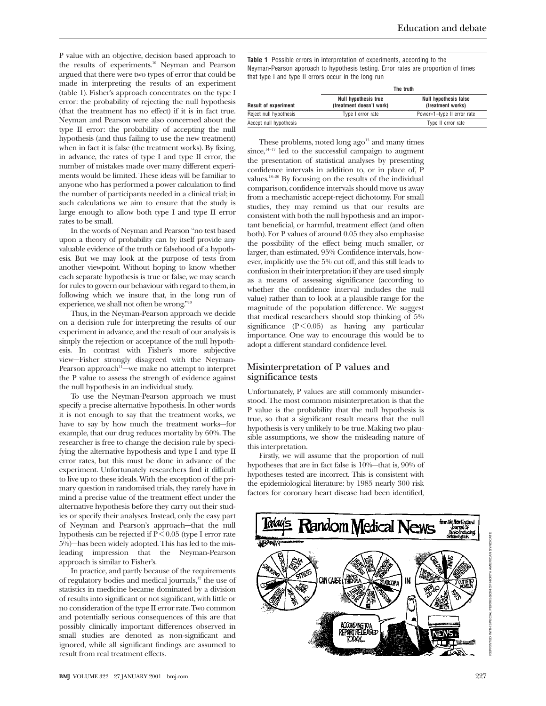P value with an objective, decision based approach to the results of experiments.<sup>10</sup> Neyman and Pearson argued that there were two types of error that could be made in interpreting the results of an experiment (table 1). Fisher's approach concentrates on the type I error: the probability of rejecting the null hypothesis (that the treatment has no effect) if it is in fact true. Neyman and Pearson were also concerned about the type II error: the probability of accepting the null hypothesis (and thus failing to use the new treatment) when in fact it is false (the treatment works). By fixing, in advance, the rates of type I and type II error, the number of mistakes made over many different experiments would be limited. These ideas will be familiar to anyone who has performed a power calculation to find the number of participants needed in a clinical trial; in such calculations we aim to ensure that the study is large enough to allow both type I and type II error rates to be small.

In the words of Neyman and Pearson "no test based upon a theory of probability can by itself provide any valuable evidence of the truth or falsehood of a hypothesis. But we may look at the purpose of tests from another viewpoint. Without hoping to know whether each separate hypothesis is true or false, we may search for rules to govern our behaviour with regard to them, in following which we insure that, in the long run of experience, we shall not often be wrong."10

Thus, in the Neyman-Pearson approach we decide on a decision rule for interpreting the results of our experiment in advance, and the result of our analysis is simply the rejection or acceptance of the null hypothesis. In contrast with Fisher's more subjective view—Fisher strongly disagreed with the Neyman-Pearson approach<sup> $11$ </sup>—we make no attempt to interpret the P value to assess the strength of evidence against the null hypothesis in an individual study.

To use the Neyman-Pearson approach we must specify a precise alternative hypothesis. In other words it is not enough to say that the treatment works, we have to say by how much the treatment works—for example, that our drug reduces mortality by 60%. The researcher is free to change the decision rule by specifying the alternative hypothesis and type I and type II error rates, but this must be done in advance of the experiment. Unfortunately researchers find it difficult to live up to these ideals. With the exception of the primary question in randomised trials, they rarely have in mind a precise value of the treatment effect under the alternative hypothesis before they carry out their studies or specify their analyses. Instead, only the easy part of Neyman and Pearson's approach—that the null hypothesis can be rejected if  $P < 0.05$  (type I error rate 5%)—has been widely adopted. This has led to the misleading impression that the Neyman-Pearson approach is similar to Fisher's.

In practice, and partly because of the requirements of regulatory bodies and medical journals, $12$  the use of statistics in medicine became dominated by a division of results into significant or not significant, with little or no consideration of the type II error rate. Two common and potentially serious consequences of this are that possibly clinically important differences observed in small studies are denoted as non-significant and ignored, while all significant findings are assumed to result from real treatment effects.

**Table 1** Possible errors in interpretation of experiments, according to the Neyman-Pearson approach to hypothesis testing. Error rates are proportion of times that type I and type II errors occur in the long run

|                             | The truth                                               |                                                   |  |
|-----------------------------|---------------------------------------------------------|---------------------------------------------------|--|
| <b>Result of experiment</b> | <b>Null hypothesis true</b><br>(treatment doesn't work) | <b>Null hypothesis false</b><br>(treatment works) |  |
| Reject null hypothesis      | Type I error rate                                       | Power=1-type II error rate                        |  |
| Accept null hypothesis      |                                                         | Type II error rate                                |  |

These problems, noted long ago<sup>13</sup> and many times since,<sup>14-17</sup> led to the successful campaign to augment the presentation of statistical analyses by presenting confidence intervals in addition to, or in place of, P values.18–20 By focusing on the results of the individual comparison, confidence intervals should move us away from a mechanistic accept-reject dichotomy. For small studies, they may remind us that our results are consistent with both the null hypothesis and an important beneficial, or harmful, treatment effect (and often both). For P values of around 0.05 they also emphasise the possibility of the effect being much smaller, or larger, than estimated. 95% Confidence intervals, however, implicitly use the 5% cut off, and this still leads to confusion in their interpretation if they are used simply as a means of assessing significance (according to whether the confidence interval includes the null value) rather than to look at a plausible range for the magnitude of the population difference. We suggest that medical researchers should stop thinking of 5% significance  $(P < 0.05)$  as having any particular importance. One way to encourage this would be to adopt a different standard confidence level.

## **Misinterpretation of P values and significance tests**

Unfortunately, P values are still commonly misunderstood. The most common misinterpretation is that the P value is the probability that the null hypothesis is true, so that a significant result means that the null hypothesis is very unlikely to be true. Making two plausible assumptions, we show the misleading nature of this interpretation.

Firstly, we will assume that the proportion of null hypotheses that are in fact false is 10%—that is, 90% of hypotheses tested are incorrect. This is consistent with the epidemiological literature: by 1985 nearly 300 risk factors for coronary heart disease had been identified,

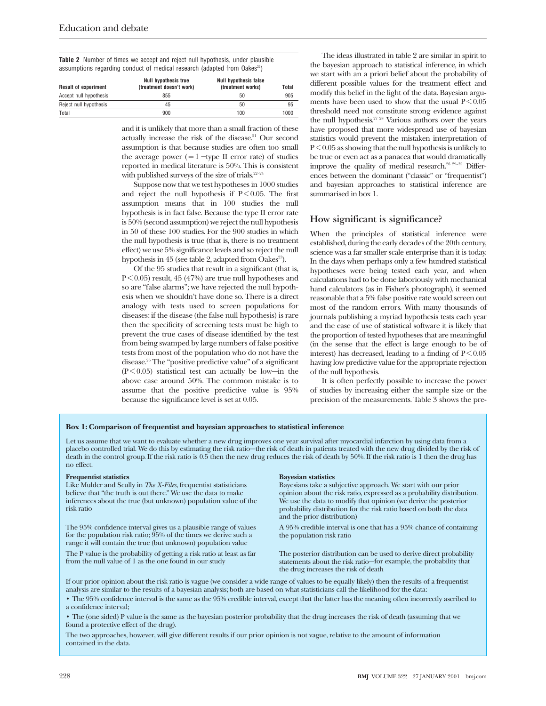**Table 2** Number of times we accept and reject null hypothesis, under plausible assumptions regarding conduct of medical research (adapted from Oakes<sup>25</sup>)

| <b>Result of experiment</b> | <b>Null hypothesis true</b><br>(treatment doesn't work) | <b>Null hypothesis false</b><br>(treatment works) | Total |
|-----------------------------|---------------------------------------------------------|---------------------------------------------------|-------|
| Accept null hypothesis      | 855                                                     | 50                                                | 905   |
| Reject null hypothesis      | 45                                                      | 50                                                | 95    |
| Total                       | 900                                                     | 100                                               | 1000  |

and it is unlikely that more than a small fraction of these actually increase the risk of the disease.<sup>21</sup> Our second assumption is that because studies are often too small the average power  $(=1 - type II$  error rate) of studies reported in medical literature is 50%. This is consistent with published surveys of the size of trials.<sup>22-24</sup>

Suppose now that we test hypotheses in 1000 studies and reject the null hypothesis if  $P < 0.05$ . The first assumption means that in 100 studies the null hypothesis is in fact false. Because the type II error rate is 50% (second assumption) we reject the null hypothesis in 50 of these 100 studies. For the 900 studies in which the null hypothesis is true (that is, there is no treatment effect) we use 5% significance levels and so reject the null hypothesis in 45 (see table 2, adapted from Oakes $25$ ).

Of the 95 studies that result in a significant (that is, P < 0.05) result, 45 (47%) are true null hypotheses and so are "false alarms"; we have rejected the null hypothesis when we shouldn't have done so. There is a direct analogy with tests used to screen populations for diseases: if the disease (the false null hypothesis) is rare then the specificity of screening tests must be high to prevent the true cases of disease identified by the test from being swamped by large numbers of false positive tests from most of the population who do not have the disease.<sup>26</sup> The "positive predictive value" of a significant  $(P<0.05)$  statistical test can actually be low—in the above case around 50%. The common mistake is to assume that the positive predictive value is 95% because the significance level is set at 0.05.

The ideas illustrated in table 2 are similar in spirit to the bayesian approach to statistical inference, in which we start with an a priori belief about the probability of different possible values for the treatment effect and modify this belief in the light of the data. Bayesian arguments have been used to show that the usual  $P < 0.05$ threshold need not constitute strong evidence against the null hypothesis.<sup>27</sup> <sup>28</sup> Various authors over the years have proposed that more widespread use of bayesian statistics would prevent the mistaken interpretation of P < 0.05 as showing that the null hypothesis is unlikely to be true or even act as a panacea that would dramatically improve the quality of medical research.<sup>26 29–32</sup> Differences between the dominant ("classic" or "frequentist") and bayesian approaches to statistical inference are summarised in box 1.

## **How significant is significance?**

When the principles of statistical inference were established, during the early decades of the 20th century, science was a far smaller scale enterprise than it is today. In the days when perhaps only a few hundred statistical hypotheses were being tested each year, and when calculations had to be done laboriously with mechanical hand calculators (as in Fisher's photograph), it seemed reasonable that a 5% false positive rate would screen out most of the random errors. With many thousands of journals publishing a myriad hypothesis tests each year and the ease of use of statistical software it is likely that the proportion of tested hypotheses that are meaningful (in the sense that the effect is large enough to be of interest) has decreased, leading to a finding of  $P < 0.05$ having low predictive value for the appropriate rejection of the null hypothesis.

It is often perfectly possible to increase the power of studies by increasing either the sample size or the precision of the measurements. Table 3 shows the pre-

#### **Box 1: Comparison of frequentist and bayesian approaches to statistical inference**

Let us assume that we want to evaluate whether a new drug improves one year survival after myocardial infarction by using data from a placebo controlled trial. We do this by estimating the risk ratio—the risk of death in patients treated with the new drug divided by the risk of death in the control group. If the risk ratio is 0.5 then the new drug reduces the risk of death by 50%. If the risk ratio is 1 then the drug has no effect.

#### **Frequentist statistics**

Like Mulder and Scully in *The X-Files*, frequentist statisticians believe that "the truth is out there." We use the data to make inferences about the true (but unknown) population value of the risk ratio

The 95% confidence interval gives us a plausible range of values for the population risk ratio; 95% of the times we derive such a range it will contain the true (but unknown) population value The P value is the probability of getting a risk ratio at least as far from the null value of 1 as the one found in our study

#### **Bayesian statistics**

Bayesians take a subjective approach. We start with our prior opinion about the risk ratio, expressed as a probability distribution. We use the data to modify that opinion (we derive the posterior probability distribution for the risk ratio based on both the data and the prior distribution)

A 95% credible interval is one that has a 95% chance of containing the population risk ratio

The posterior distribution can be used to derive direct probability statements about the risk ratio—for example, the probability that the drug increases the risk of death

If our prior opinion about the risk ratio is vague (we consider a wide range of values to be equally likely) then the results of a frequentist analysis are similar to the results of a bayesian analysis; both are based on what statisticians call the likelihood for the data:

• The 95% confidence interval is the same as the 95% credible interval, except that the latter has the meaning often incorrectly ascribed to a confidence interval;

• The (one sided) P value is the same as the bayesian posterior probability that the drug increases the risk of death (assuming that we found a protective effect of the drug).

The two approaches, however, will give different results if our prior opinion is not vague, relative to the amount of information contained in the data.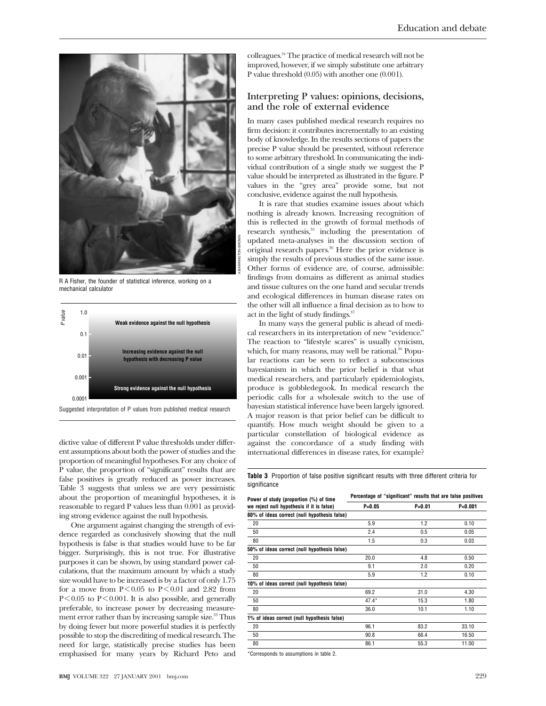

R A Fisher, the founder of statistical inference, working on a mechanical calculator



Suggested interpretation of P values from published medical research

dictive value of different P value thresholds under different assumptions about both the power of studies and the proportion of meaningful hypotheses. For any choice of P value, the proportion of "significant" results that are false positives is greatly reduced as power increases. Table 3 suggests that unless we are very pessimistic about the proportion of meaningful hypotheses, it is reasonable to regard P values less than 0.001 as providing strong evidence against the null hypothesis.

One argument against changing the strength of evidence regarded as conclusively showing that the null hypothesis is false is that studies would have to be far bigger. Surprisingly, this is not true. For illustrative purposes it can be shown, by using standard power calculations, that the maximum amount by which a study size would have to be increased is by a factor of only 1.75 for a move from  $P \le 0.05$  to  $P \le 0.01$  and 2.82 from  $P < 0.05$  to  $P < 0.001$ . It is also possible, and generally preferable, to increase power by decreasing measurement error rather than by increasing sample size.<sup>33</sup> Thus by doing fewer but more powerful studies it is perfectly possible to stop the discrediting of medical research. The need for large, statistically precise studies has been emphasised for many years by Richard Peto and colleagues.34 The practice of medical research will not be improved, however, if we simply substitute one arbitrary P value threshold (0.05) with another one (0.001).

## **Interpreting P values: opinions, decisions, and the role of external evidence**

In many cases published medical research requires no firm decision: it contributes incrementally to an existing body of knowledge. In the results sections of papers the precise P value should be presented, without reference to some arbitrary threshold. In communicating the individual contribution of a single study we suggest the P value should be interpreted as illustrated in the figure. P values in the "grey area" provide some, but not conclusive, evidence against the null hypothesis.

It is rare that studies examine issues about which nothing is already known. Increasing recognition of this is reflected in the growth of formal methods of research synthesis,<sup>35</sup> including the presentation of updated meta-analyses in the discussion section of original research papers.<sup>36</sup> Here the prior evidence is simply the results of previous studies of the same issue. Other forms of evidence are, of course, admissible: findings from domains as different as animal studies and tissue cultures on the one hand and secular trends and ecological differences in human disease rates on the other will all influence a final decision as to how to act in the light of study findings.<sup>37</sup>

In many ways the general public is ahead of medical researchers in its interpretation of new "evidence." The reaction to "lifestyle scares" is usually cynicism, which, for many reasons, may well be rational.<sup>38</sup> Popular reactions can be seen to reflect a subconscious bayesianism in which the prior belief is that what medical researchers, and particularly epidemiologists, produce is gobbledegook. In medical research the periodic calls for a wholesale switch to the use of bayesian statistical inference have been largely ignored. A major reason is that prior belief can be difficult to quantify. How much weight should be given to a particular constellation of biological evidence as against the concordance of a study finding with international differences in disease rates, for example?

**Table 3** Proportion of false positive significant results with three different criteria for significance

| Power of study (proportion (%) of time       |            |            | Percentage of "significant" results that are false positives |  |
|----------------------------------------------|------------|------------|--------------------------------------------------------------|--|
| we reject null hypothesis if it is false)    | $P = 0.05$ | $P = 0.01$ | $P=0.001$                                                    |  |
| 80% of ideas correct (null hypothesis false) |            |            |                                                              |  |
| 20                                           | 5.9        | 1.2        | 0.10                                                         |  |
| 50                                           | 2.4        | 0.5        | 0.05                                                         |  |
| 80                                           | 1.5        | 0.3        | 0.03                                                         |  |
| 50% of ideas correct (null hypothesis false) |            |            |                                                              |  |
| 20                                           | 20.0       | 4.8        | 0.50                                                         |  |
| 50                                           | 9.1        | 2.0        | 0.20                                                         |  |
| 80                                           | 5.9        | 1.2        | 0.10                                                         |  |
| 10% of ideas correct (null hypothesis false) |            |            |                                                              |  |
| 20                                           | 69.2       | 31.0       | 4.30                                                         |  |
| 50                                           | $47.4*$    | 15.3       | 1.80                                                         |  |
| 80                                           | 36.0       | 10.1       | 1.10                                                         |  |
| 1% of ideas correct (null hypothesis false)  |            |            |                                                              |  |
| 20                                           | 96.1       | 83.2       | 33.10                                                        |  |
| 50                                           | 90.8       | 66.4       | 16.50                                                        |  |
| 80                                           | 86.1       | 55.3       | 11.00                                                        |  |
|                                              |            |            |                                                              |  |

\*Corresponds to assumptions in table 2.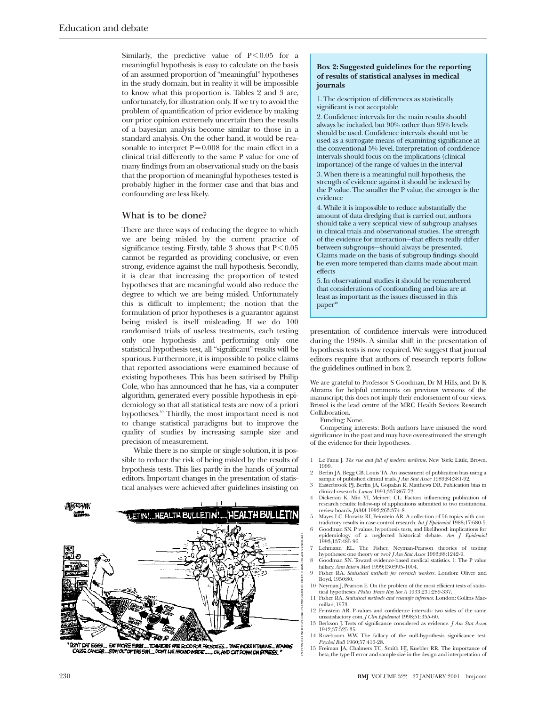Similarly, the predictive value of  $P < 0.05$  for a meaningful hypothesis is easy to calculate on the basis of an assumed proportion of "meaningful" hypotheses in the study domain, but in reality it will be impossible to know what this proportion is. Tables 2 and 3 are, unfortunately, for illustration only. If we try to avoid the problem of quantification of prior evidence by making our prior opinion extremely uncertain then the results of a bayesian analysis become similar to those in a standard analysis. On the other hand, it would be reasonable to interpret  $P = 0.008$  for the main effect in a clinical trial differently to the same P value for one of many findings from an observational study on the basis that the proportion of meaningful hypotheses tested is probably higher in the former case and that bias and confounding are less likely.

### **What is to be done?**

There are three ways of reducing the degree to which we are being misled by the current practice of significance testing. Firstly, table 3 shows that  $P < 0.05$ cannot be regarded as providing conclusive, or even strong, evidence against the null hypothesis. Secondly, it is clear that increasing the proportion of tested hypotheses that are meaningful would also reduce the degree to which we are being misled. Unfortunately this is difficult to implement; the notion that the formulation of prior hypotheses is a guarantor against being misled is itself misleading. If we do 100 randomised trials of useless treatments, each testing only one hypothesis and performing only one statistical hypothesis test, all "significant" results will be spurious. Furthermore, it is impossible to police claims that reported associations were examined because of existing hypotheses. This has been satirised by Philip Cole, who has announced that he has, via a computer algorithm, generated every possible hypothesis in epidemiology so that all statistical tests are now of a priori hypotheses.39 Thirdly, the most important need is not to change statistical paradigms but to improve the quality of studies by increasing sample size and precision of measurement.

While there is no simple or single solution, it is possible to reduce the risk of being misled by the results of hypothesis tests. This lies partly in the hands of journal editors. Important changes in the presentation of statistical analyses were achieved after guidelines insisting on



.<br>IT EAT EGGS... EAT MORE EGGS.... TOMATOES ARE GOOD FOR FROSTATES... TAKE WORE VITAMINS... VITAMINS CAUSE CANCER... STAY OUT OF THE SUN... DON'T LIE AROUND ASIDE...... OH, AND CUT DOWN ON SIRESS.

### **Box 2: Suggested guidelines for the reporting of results of statistical analyses in medical journals**

1. The description of differences as statistically significant is not acceptable

2. Confidence intervals for the main results should always be included, but 90% rather than 95% levels should be used. Confidence intervals should not be used as a surrogate means of examining significance at the conventional 5% level. Interpretation of confidence intervals should focus on the implications (clinical importance) of the range of values in the interval 3. When there is a meaningful null hypothesis, the strength of evidence against it should be indexed by the P value. The smaller the P value, the stronger is the evidence

4. While it is impossible to reduce substantially the amount of data dredging that is carried out, authors should take a very sceptical view of subgroup analyses in clinical trials and observational studies. The strength of the evidence for interaction—that effects really differ between subgroups—should always be presented. Claims made on the basis of subgroup findings should be even more tempered than claims made about main effects

5. In observational studies it should be remembered that considerations of confounding and bias are at least as important as the issues discussed in this paper<sup>40</sup>

presentation of confidence intervals were introduced during the 1980s. A similar shift in the presentation of hypothesis tests is now required. We suggest that journal editors require that authors of research reports follow the guidelines outlined in box 2.

We are grateful to Professor S Goodman, Dr M Hills, and Dr K Abrams for helpful comments on previous versions of the manuscript; this does not imply their endorsement of our views. Bristol is the lead centre of the MRC Health Sevices Research Collaboration.

Funding: None.

Competing interests: Both authors have misused the word significance in the past and may have overestimated the strength of the evidence for their hypotheses.

- 1 Le Fanu J. *The rise and fall of modern medicine*. New York: Little, Brown, 1999.
- 2 Berlin JA, Begg CB, Louis TA. An assessment of publication bias using a sample of published clinical trials. *J Am Stat Assoc* 1989;84:381-92.
- 3 Easterbrook PJ, Berlin JA, Gopalan R, Matthews DR. Publication bias in clinical research. *Lancet* 1991;337:867-72.
- 4 Dickersin K, Min YI, Meinert CL. Factors influencing publication of research results: follow-up of applications submitted to two institutional review boards. *JAMA* 1992;263:374-8.
- 5 Mayes LC, Horwitz RI, Feinstein AR. A collection of 56 topics with con-
- tradictory results in case-control research. *Int J Epidemiol* 1988;17:680-5. 6 Goodman SN. P values, hypothesis tests, and likelihood: implications for epidemiology of a neglected historical debate. *Am J Epidemiol* 1993;137:485-96.
- 7 Lehmann EL. The Fisher, Neyman-Pearson theories of testing hypotheses: one theory or two? *J Am Stat Assoc* 1993;88:1242-9. 8 Goodman SN. Toward evidence-based medical statistics. 1: The P value
- fallacy. *Ann Intern Med* 1999;130:995-1004.
- 9 Fisher RA. *Statistical methods for research workers*. London: Oliver and Boyd, 1950:80.
- Neyman J, Pearson E. On the problem of the most efficient tests of statistical hypotheses. *Philos Trans Roy Soc A* 1933;231:289-337.
- 11 Fisher RA. *Statistical methods and scientific inference*. London: Collins Macmillan, 1973.
- 12 Feinstein AR. P-values and confidence intervals: two sides of the same unsatisfactory coin. *J Clin Epidemiol* 1998;51:355-60.
- 13 Berkson J. Tests of significance considered as evidence. *J Am Stat Assoc* 1942;37:325-35.
- 14 Rozeboom WW. The fallacy of the null-hypothesis significance test. *Psychol Bull* 1960;57:416-28.
- 15 Freiman JA, Chalmers TC, Smith HJ, Kuebler RR. The importance of beta, the type II error and sample size in the design and interpretation of